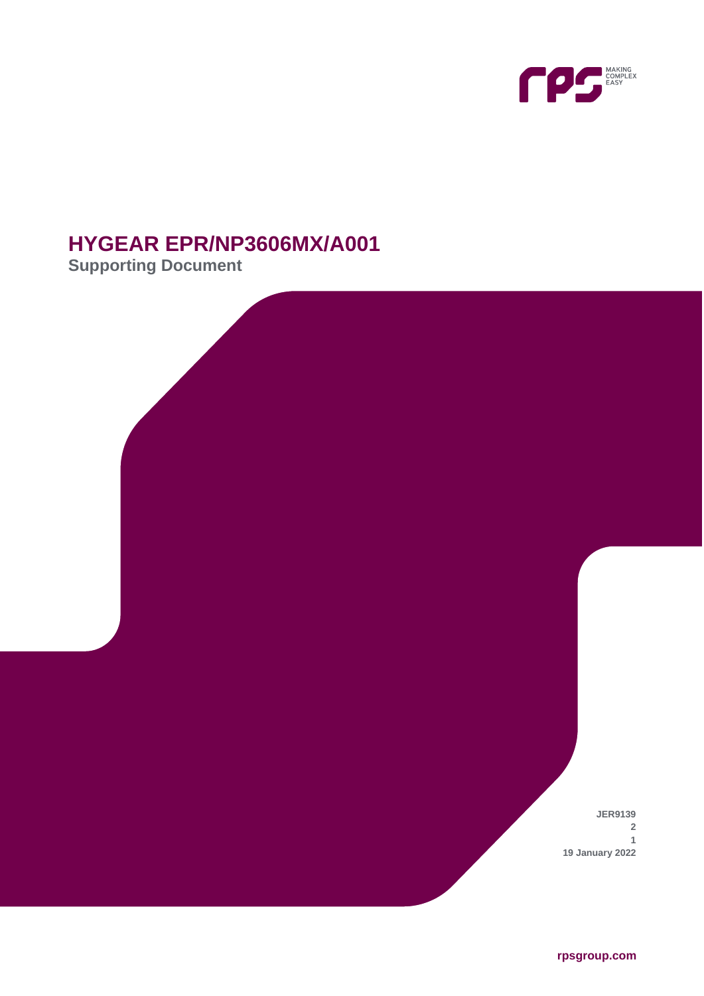

# **HYGEAR EPR/NP3606MX/A001**

**Supporting Document**

**JER9139 2 1 19 January 2022**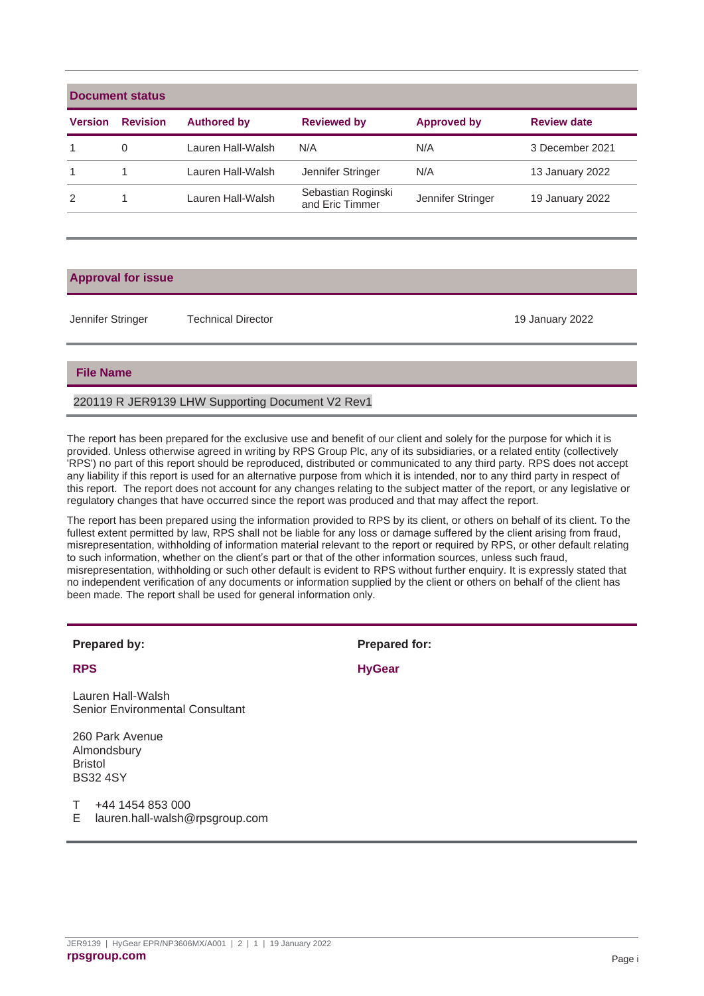| Document status |                 |                    |                                       |                    |                    |  |  |
|-----------------|-----------------|--------------------|---------------------------------------|--------------------|--------------------|--|--|
| <b>Version</b>  | <b>Revision</b> | <b>Authored by</b> | <b>Reviewed by</b>                    | <b>Approved by</b> | <b>Review date</b> |  |  |
|                 | 0               | Lauren Hall-Walsh  | N/A                                   | N/A                | 3 December 2021    |  |  |
| 1               |                 | Lauren Hall-Walsh  | Jennifer Stringer                     | N/A                | 13 January 2022    |  |  |
| 2               |                 | Lauren Hall-Walsh  | Sebastian Roginski<br>and Eric Timmer | Jennifer Stringer  | 19 January 2022    |  |  |
|                 |                 |                    |                                       |                    |                    |  |  |

#### **Approval for issue**

Jennifer Stringer Technical Director 19 January 2022

#### **File Name**

#### 220119 R JER9139 LHW Supporting Document V2 Rev1

The report has been prepared for the exclusive use and benefit of our client and solely for the purpose for which it is provided. Unless otherwise agreed in writing by RPS Group Plc, any of its subsidiaries, or a related entity (collectively 'RPS') no part of this report should be reproduced, distributed or communicated to any third party. RPS does not accept any liability if this report is used for an alternative purpose from which it is intended, nor to any third party in respect of this report. The report does not account for any changes relating to the subject matter of the report, or any legislative or regulatory changes that have occurred since the report was produced and that may affect the report.

The report has been prepared using the information provided to RPS by its client, or others on behalf of its client. To the fullest extent permitted by law, RPS shall not be liable for any loss or damage suffered by the client arising from fraud, misrepresentation, withholding of information material relevant to the report or required by RPS, or other default relating to such information, whether on the client's part or that of the other information sources, unless such fraud, misrepresentation, withholding or such other default is evident to RPS without further enquiry. It is expressly stated that no independent verification of any documents or information supplied by the client or others on behalf of the client has been made. The report shall be used for general information only.

Lauren Hall-Walsh Senior Environmental Consultant

260 Park Avenue Almondsbury Bristol BS32 4SY

T +44 1454 853 000

E lauren.hall-walsh@rpsgroup.com

**Prepared by: Prepared for:**

**RPS HyGear**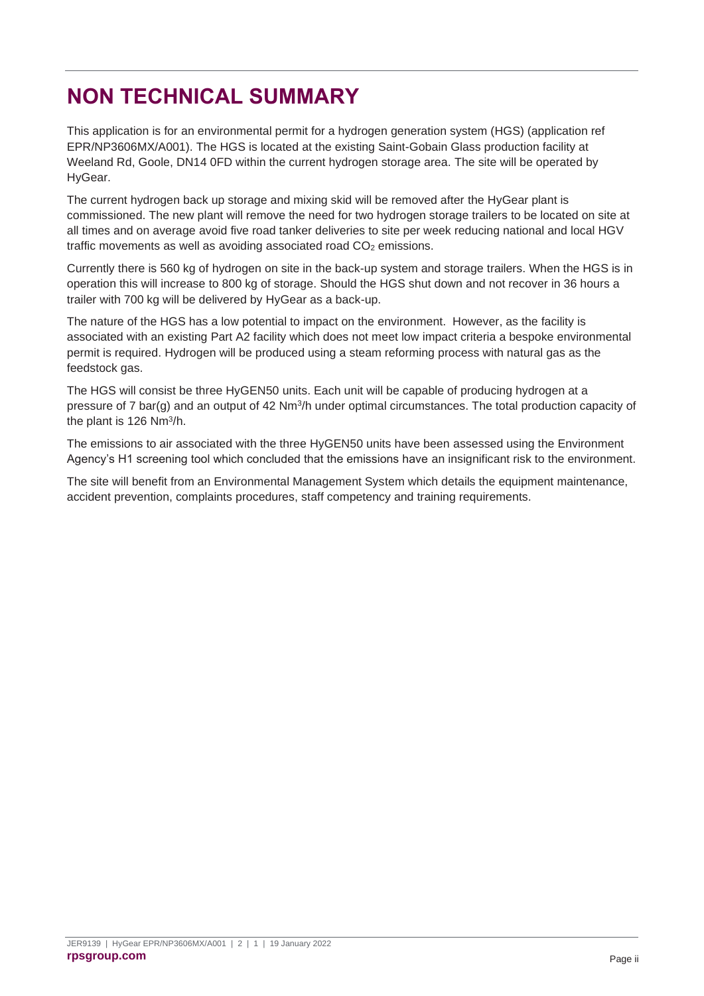# <span id="page-2-0"></span>**NON TECHNICAL SUMMARY**

This application is for an environmental permit for a hydrogen generation system (HGS) (application ref EPR/NP3606MX/A001). The HGS is located at the existing Saint-Gobain Glass production facility at Weeland Rd, Goole, DN14 0FD within the current hydrogen storage area. The site will be operated by HyGear.

The current hydrogen back up storage and mixing skid will be removed after the HyGear plant is commissioned. The new plant will remove the need for two hydrogen storage trailers to be located on site at all times and on average avoid five road tanker deliveries to site per week reducing national and local HGV traffic movements as well as avoiding associated road  $CO<sub>2</sub>$  emissions.

Currently there is 560 kg of hydrogen on site in the back-up system and storage trailers. When the HGS is in operation this will increase to 800 kg of storage. Should the HGS shut down and not recover in 36 hours a trailer with 700 kg will be delivered by HyGear as a back-up.

The nature of the HGS has a low potential to impact on the environment. However, as the facility is associated with an existing Part A2 facility which does not meet low impact criteria a bespoke environmental permit is required. Hydrogen will be produced using a steam reforming process with natural gas as the feedstock gas.

The HGS will consist be three HyGEN50 units. Each unit will be capable of producing hydrogen at a pressure of 7 bar(g) and an output of 42 Nm<sup>3</sup>/h under optimal circumstances. The total production capacity of the plant is 126 Nm<sup>3</sup>/h.

The emissions to air associated with the three HyGEN50 units have been assessed using the Environment Agency's H1 screening tool which concluded that the emissions have an insignificant risk to the environment.

The site will benefit from an Environmental Management System which details the equipment maintenance, accident prevention, complaints procedures, staff competency and training requirements.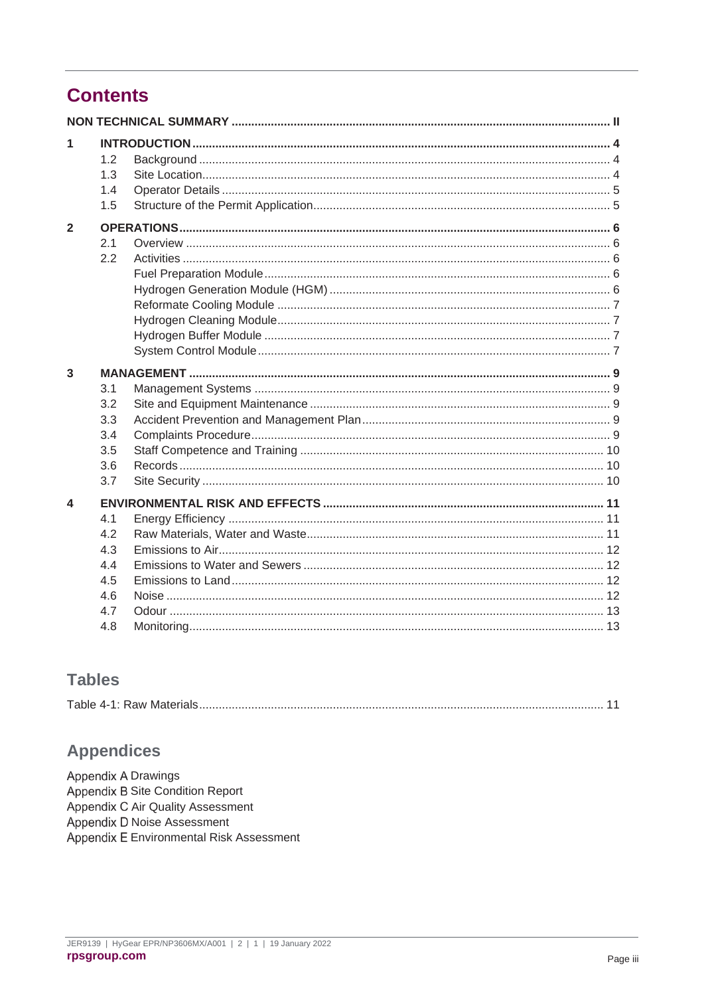### **Contents**

| 1              | 1.2<br>1.3<br>1.4<br>1.5                             |  |  |  |  |
|----------------|------------------------------------------------------|--|--|--|--|
| $\overline{2}$ | 2.1<br>2.2                                           |  |  |  |  |
| 3              | 3.1<br>3.2<br>3.3<br>3.4<br>3.5<br>3.6<br>3.7        |  |  |  |  |
| 4              | 4.1<br>4.2<br>4.3<br>4.4<br>4.5<br>4.6<br>4.7<br>4.8 |  |  |  |  |

### **Tables**

| $T$ akla<br>. |
|---------------|
|---------------|

### **Appendices**

Appendix A Drawings Appendix B Site Condition Report Appendix C Air Quality Assessment Appendix D Noise Assessment Appendix E Environmental Risk Assessment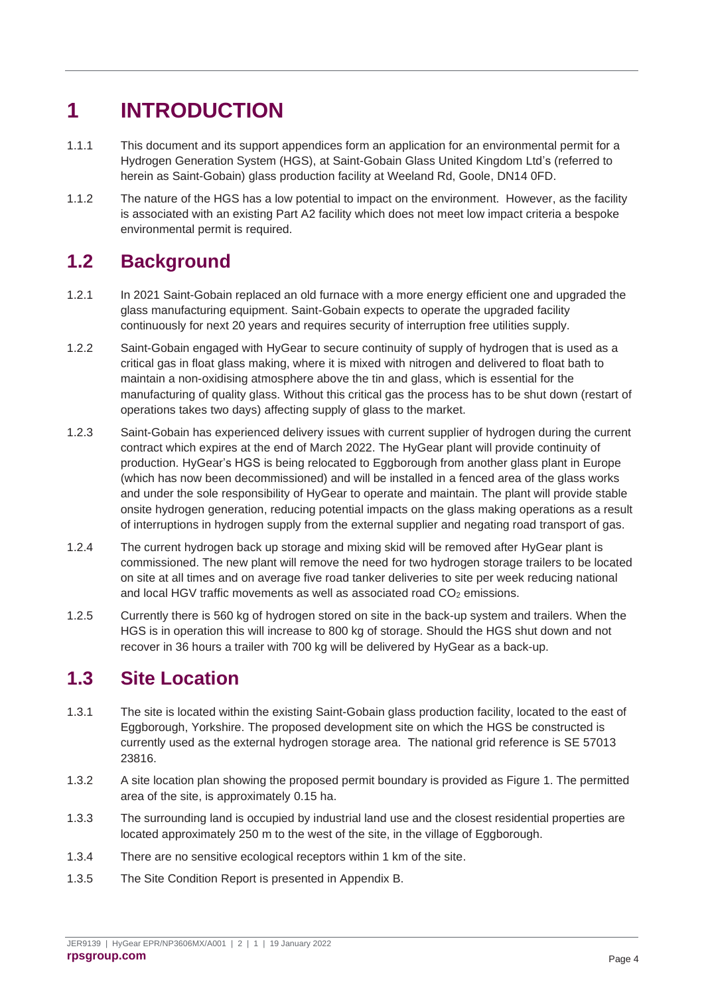# <span id="page-4-0"></span>**1 INTRODUCTION**

- 1.1.1 This document and its support appendices form an application for an environmental permit for a Hydrogen Generation System (HGS), at Saint-Gobain Glass United Kingdom Ltd's (referred to herein as Saint-Gobain) glass production facility at Weeland Rd, Goole, DN14 0FD.
- 1.1.2 The nature of the HGS has a low potential to impact on the environment. However, as the facility is associated with an existing Part A2 facility which does not meet low impact criteria a bespoke environmental permit is required.

## <span id="page-4-1"></span>**1.2 Background**

- 1.2.1 In 2021 Saint-Gobain replaced an old furnace with a more energy efficient one and upgraded the glass manufacturing equipment. Saint-Gobain expects to operate the upgraded facility continuously for next 20 years and requires security of interruption free utilities supply.
- 1.2.2 Saint-Gobain engaged with HyGear to secure continuity of supply of hydrogen that is used as a critical gas in float glass making, where it is mixed with nitrogen and delivered to float bath to maintain a non-oxidising atmosphere above the tin and glass, which is essential for the manufacturing of quality glass. Without this critical gas the process has to be shut down (restart of operations takes two days) affecting supply of glass to the market.
- 1.2.3 Saint-Gobain has experienced delivery issues with current supplier of hydrogen during the current contract which expires at the end of March 2022. The HyGear plant will provide continuity of production. HyGear's HGS is being relocated to Eggborough from another glass plant in Europe (which has now been decommissioned) and will be installed in a fenced area of the glass works and under the sole responsibility of HyGear to operate and maintain. The plant will provide stable onsite hydrogen generation, reducing potential impacts on the glass making operations as a result of interruptions in hydrogen supply from the external supplier and negating road transport of gas.
- 1.2.4 The current hydrogen back up storage and mixing skid will be removed after HyGear plant is commissioned. The new plant will remove the need for two hydrogen storage trailers to be located on site at all times and on average five road tanker deliveries to site per week reducing national and local HGV traffic movements as well as associated road  $CO<sub>2</sub>$  emissions.
- 1.2.5 Currently there is 560 kg of hydrogen stored on site in the back-up system and trailers. When the HGS is in operation this will increase to 800 kg of storage. Should the HGS shut down and not recover in 36 hours a trailer with 700 kg will be delivered by HyGear as a back-up.

### <span id="page-4-2"></span>**1.3 Site Location**

- 1.3.1 The site is located within the existing Saint-Gobain glass production facility, located to the east of Eggborough, Yorkshire. The proposed development site on which the HGS be constructed is currently used as the external hydrogen storage area. The national grid reference is SE 57013 23816.
- 1.3.2 A site location plan showing the proposed permit boundary is provided as Figure 1. The permitted area of the site, is approximately 0.15 ha.
- 1.3.3 The surrounding land is occupied by industrial land use and the closest residential properties are located approximately 250 m to the west of the site, in the village of Eggborough.
- 1.3.4 There are no sensitive ecological receptors within 1 km of the site.
- 1.3.5 The Site Condition Report is presented in Appendix B.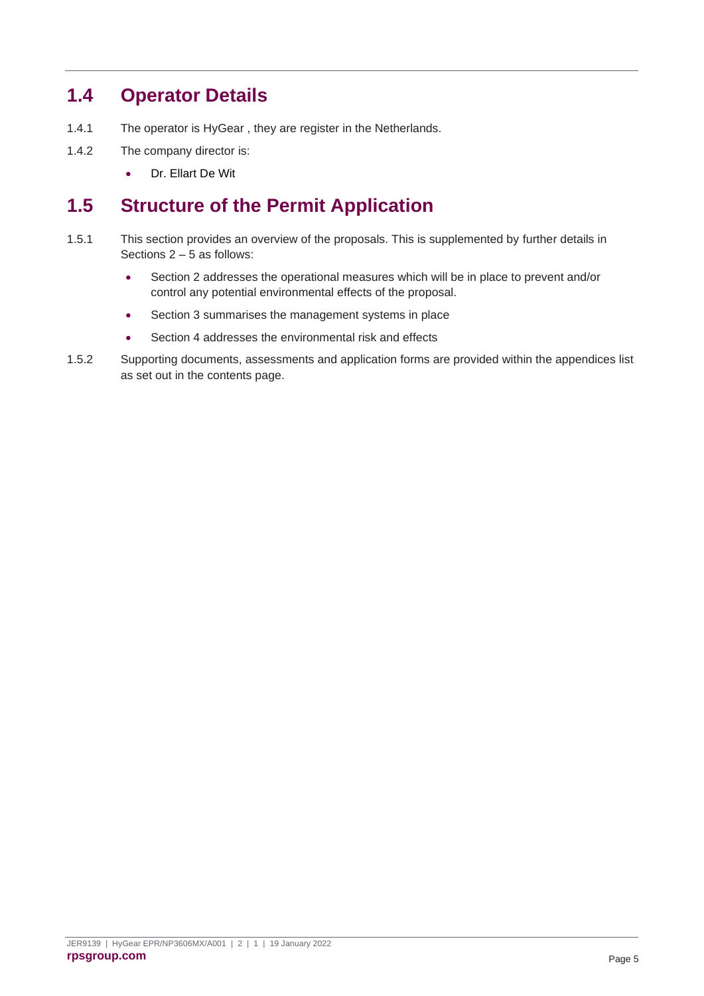### <span id="page-5-0"></span>**1.4 Operator Details**

- 1.4.1 The operator is HyGear , they are register in the Netherlands.
- 1.4.2 The company director is:
	- Dr. Ellart De Wit

### <span id="page-5-1"></span>**1.5 Structure of the Permit Application**

- 1.5.1 This section provides an overview of the proposals. This is supplemented by further details in Sections 2 – 5 as follows:
	- Section 2 addresses the operational measures which will be in place to prevent and/or control any potential environmental effects of the proposal.
	- Section 3 summarises the management systems in place
	- Section 4 addresses the environmental risk and effects
- 1.5.2 Supporting documents, assessments and application forms are provided within the appendices list as set out in the contents page.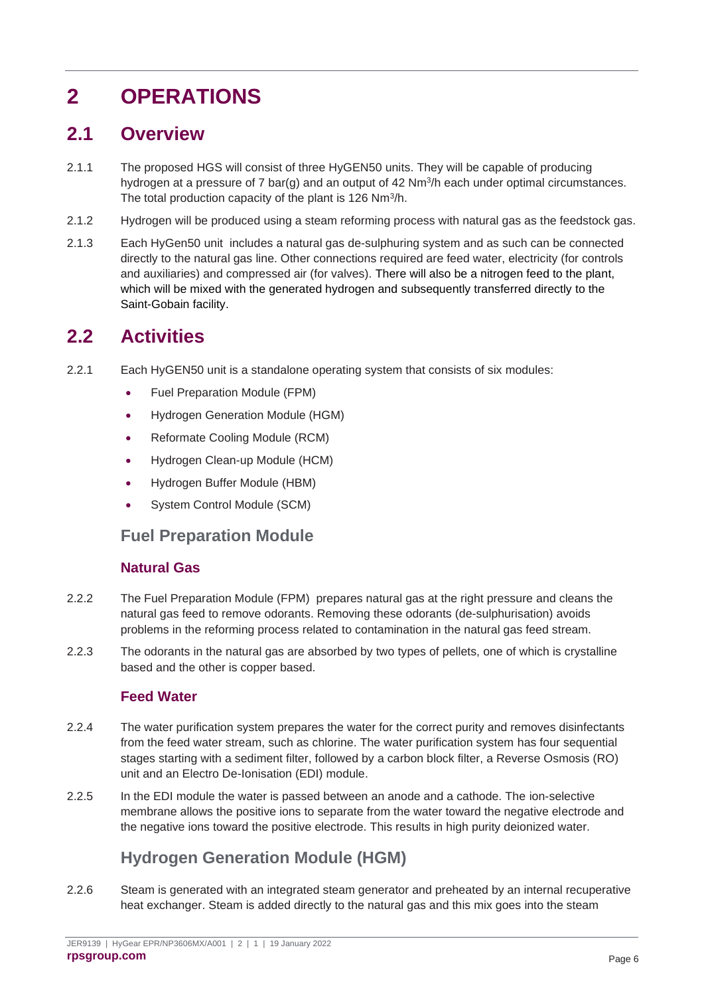# <span id="page-6-0"></span>**2 OPERATIONS**

### <span id="page-6-1"></span>**2.1 Overview**

- 2.1.1 The proposed HGS will consist of three HyGEN50 units. They will be capable of producing hydrogen at a pressure of 7 bar(g) and an output of  $42 \text{ Nm}^3$ /h each under optimal circumstances. The total production capacity of the plant is 126 Nm<sup>3</sup>/h.
- 2.1.2 Hydrogen will be produced using a steam reforming process with natural gas as the feedstock gas.
- 2.1.3 Each HyGen50 unit includes a natural gas de-sulphuring system and as such can be connected directly to the natural gas line. Other connections required are feed water, electricity (for controls and auxiliaries) and compressed air (for valves). There will also be a nitrogen feed to the plant, which will be mixed with the generated hydrogen and subsequently transferred directly to the Saint-Gobain facility.

### <span id="page-6-2"></span>**2.2 Activities**

- 2.2.1 Each HyGEN50 unit is a standalone operating system that consists of six modules:
	- Fuel Preparation Module (FPM)
	- Hydrogen Generation Module (HGM)
	- Reformate Cooling Module (RCM)
	- Hydrogen Clean-up Module (HCM)
	- Hydrogen Buffer Module (HBM)
	- System Control Module (SCM)

#### <span id="page-6-3"></span>**Fuel Preparation Module**

#### **Natural Gas**

- 2.2.2 The Fuel Preparation Module (FPM) prepares natural gas at the right pressure and cleans the natural gas feed to remove odorants. Removing these odorants (de-sulphurisation) avoids problems in the reforming process related to contamination in the natural gas feed stream.
- 2.2.3 The odorants in the natural gas are absorbed by two types of pellets, one of which is crystalline based and the other is copper based.

#### **Feed Water**

- 2.2.4 The water purification system prepares the water for the correct purity and removes disinfectants from the feed water stream, such as chlorine. The water purification system has four sequential stages starting with a sediment filter, followed by a carbon block filter, a Reverse Osmosis (RO) unit and an Electro De-Ionisation (EDI) module.
- 2.2.5 In the EDI module the water is passed between an anode and a cathode. The ion-selective membrane allows the positive ions to separate from the water toward the negative electrode and the negative ions toward the positive electrode. This results in high purity deionized water.

### **Hydrogen Generation Module (HGM)**

<span id="page-6-4"></span>2.2.6 Steam is generated with an integrated steam generator and preheated by an internal recuperative heat exchanger. Steam is added directly to the natural gas and this mix goes into the steam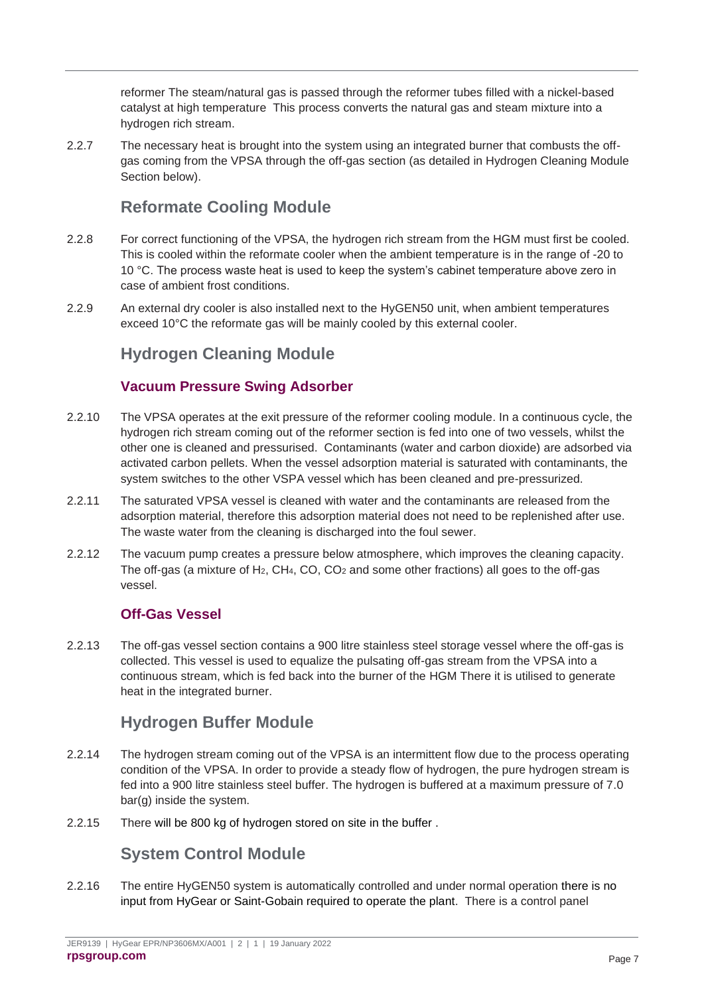reformer The steam/natural gas is passed through the reformer tubes filled with a nickel-based catalyst at high temperature This process converts the natural gas and steam mixture into a hydrogen rich stream.

2.2.7 The necessary heat is brought into the system using an integrated burner that combusts the offgas coming from the VPSA through the off-gas section (as detailed in Hydrogen Cleaning Module Section below).

### **Reformate Cooling Module**

- <span id="page-7-0"></span>2.2.8 For correct functioning of the VPSA, the hydrogen rich stream from the HGM must first be cooled. This is cooled within the reformate cooler when the ambient temperature is in the range of -20 to 10 °C. The process waste heat is used to keep the system's cabinet temperature above zero in case of ambient frost conditions.
- <span id="page-7-1"></span>2.2.9 An external dry cooler is also installed next to the HyGEN50 unit, when ambient temperatures exceed 10°C the reformate gas will be mainly cooled by this external cooler.

### **Hydrogen Cleaning Module**

#### **Vacuum Pressure Swing Adsorber**

- 2.2.10 The VPSA operates at the exit pressure of the reformer cooling module. In a continuous cycle, the hydrogen rich stream coming out of the reformer section is fed into one of two vessels, whilst the other one is cleaned and pressurised. Contaminants (water and carbon dioxide) are adsorbed via activated carbon pellets. When the vessel adsorption material is saturated with contaminants, the system switches to the other VSPA vessel which has been cleaned and pre-pressurized.
- 2.2.11 The saturated VPSA vessel is cleaned with water and the contaminants are released from the adsorption material, therefore this adsorption material does not need to be replenished after use. The waste water from the cleaning is discharged into the foul sewer.
- 2.2.12 The vacuum pump creates a pressure below atmosphere, which improves the cleaning capacity. The off-gas (a mixture of H<sub>2</sub>, CH<sub>4</sub>, CO, CO<sub>2</sub> and some other fractions) all goes to the off-gas vessel.

### **Off-Gas Vessel**

2.2.13 The off-gas vessel section contains a 900 litre stainless steel storage vessel where the off-gas is collected. This vessel is used to equalize the pulsating off-gas stream from the VPSA into a continuous stream, which is fed back into the burner of the HGM There it is utilised to generate heat in the integrated burner.

### **Hydrogen Buffer Module**

- <span id="page-7-2"></span>2.2.14 The hydrogen stream coming out of the VPSA is an intermittent flow due to the process operating condition of the VPSA. In order to provide a steady flow of hydrogen, the pure hydrogen stream is fed into a 900 litre stainless steel buffer. The hydrogen is buffered at a maximum pressure of 7.0 bar(g) inside the system.
- <span id="page-7-3"></span>2.2.15 There will be 800 kg of hydrogen stored on site in the buffer .

### **System Control Module**

2.2.16 The entire HyGEN50 system is automatically controlled and under normal operation there is no input from HyGear or Saint-Gobain required to operate the plant. There is a control panel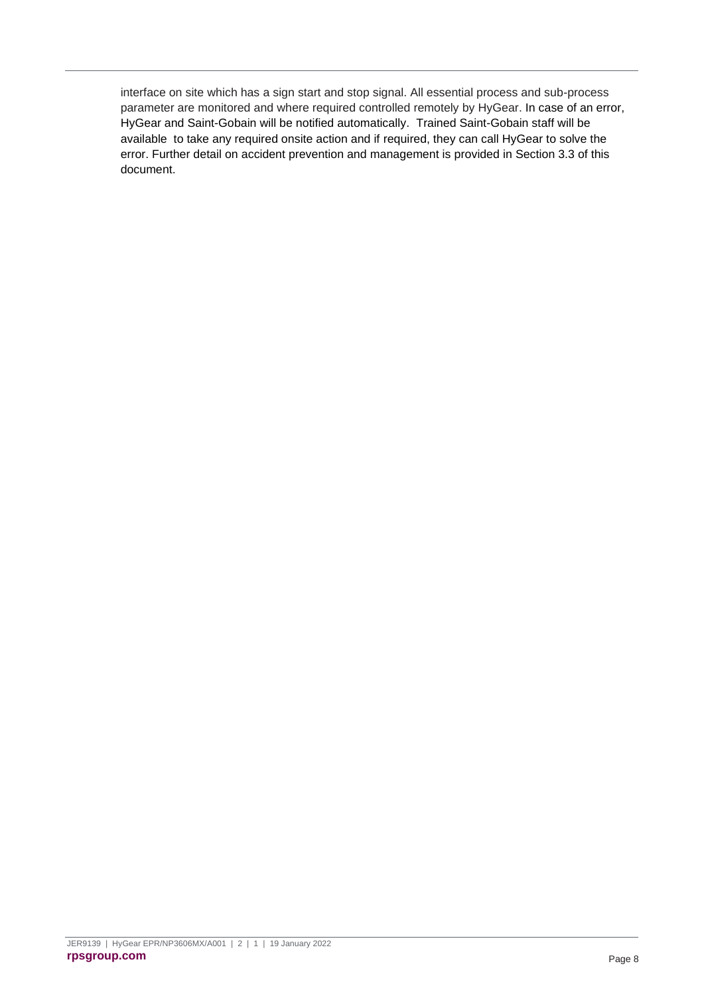interface on site which has a sign start and stop signal. All essential process and sub-process parameter are monitored and where required controlled remotely by HyGear. In case of an error, HyGear and Saint-Gobain will be notified automatically. Trained Saint-Gobain staff will be available to take any required onsite action and if required, they can call HyGear to solve the error. Further detail on accident prevention and management is provided in Section 3.3 of this document.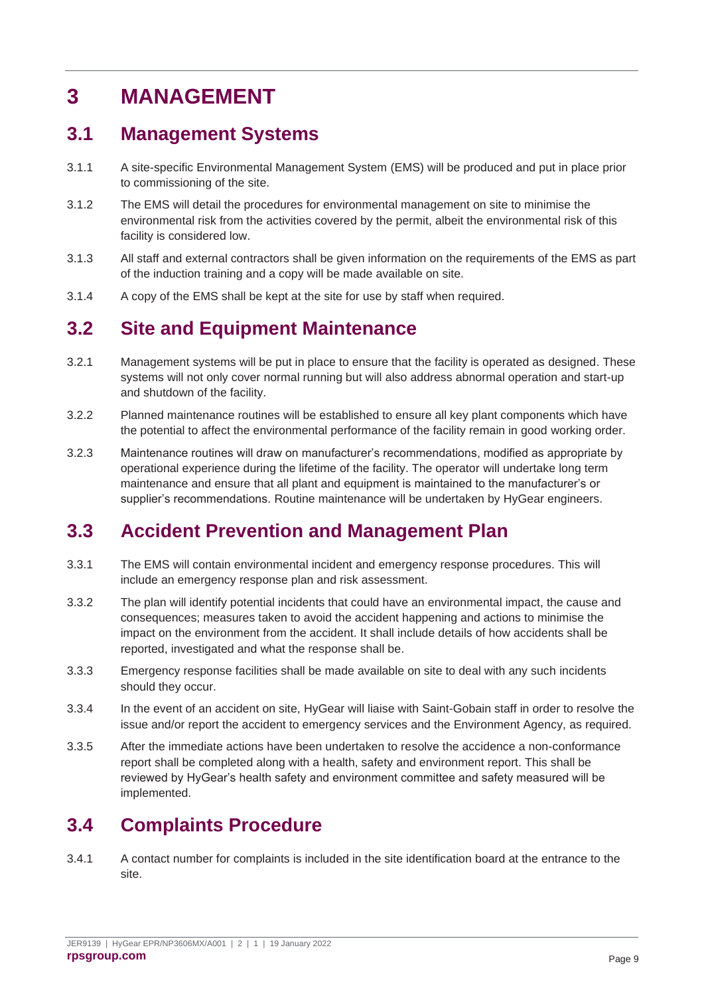# <span id="page-9-0"></span>**3 MANAGEMENT**

### <span id="page-9-1"></span>**3.1 Management Systems**

- 3.1.1 A site-specific Environmental Management System (EMS) will be produced and put in place prior to commissioning of the site.
- 3.1.2 The EMS will detail the procedures for environmental management on site to minimise the environmental risk from the activities covered by the permit, albeit the environmental risk of this facility is considered low.
- 3.1.3 All staff and external contractors shall be given information on the requirements of the EMS as part of the induction training and a copy will be made available on site.
- 3.1.4 A copy of the EMS shall be kept at the site for use by staff when required.

## <span id="page-9-2"></span>**3.2 Site and Equipment Maintenance**

- 3.2.1 Management systems will be put in place to ensure that the facility is operated as designed. These systems will not only cover normal running but will also address abnormal operation and start-up and shutdown of the facility.
- 3.2.2 Planned maintenance routines will be established to ensure all key plant components which have the potential to affect the environmental performance of the facility remain in good working order.
- 3.2.3 Maintenance routines will draw on manufacturer's recommendations, modified as appropriate by operational experience during the lifetime of the facility. The operator will undertake long term maintenance and ensure that all plant and equipment is maintained to the manufacturer's or supplier's recommendations. Routine maintenance will be undertaken by HyGear engineers.

### <span id="page-9-3"></span>**3.3 Accident Prevention and Management Plan**

- 3.3.1 The EMS will contain environmental incident and emergency response procedures. This will include an emergency response plan and risk assessment.
- 3.3.2 The plan will identify potential incidents that could have an environmental impact, the cause and consequences; measures taken to avoid the accident happening and actions to minimise the impact on the environment from the accident. It shall include details of how accidents shall be reported, investigated and what the response shall be.
- 3.3.3 Emergency response facilities shall be made available on site to deal with any such incidents should they occur.
- 3.3.4 In the event of an accident on site, HyGear will liaise with Saint-Gobain staff in order to resolve the issue and/or report the accident to emergency services and the Environment Agency, as required.
- 3.3.5 After the immediate actions have been undertaken to resolve the accidence a non-conformance report shall be completed along with a health, safety and environment report. This shall be reviewed by HyGear's health safety and environment committee and safety measured will be implemented.

### <span id="page-9-4"></span>**3.4 Complaints Procedure**

3.4.1 A contact number for complaints is included in the site identification board at the entrance to the site.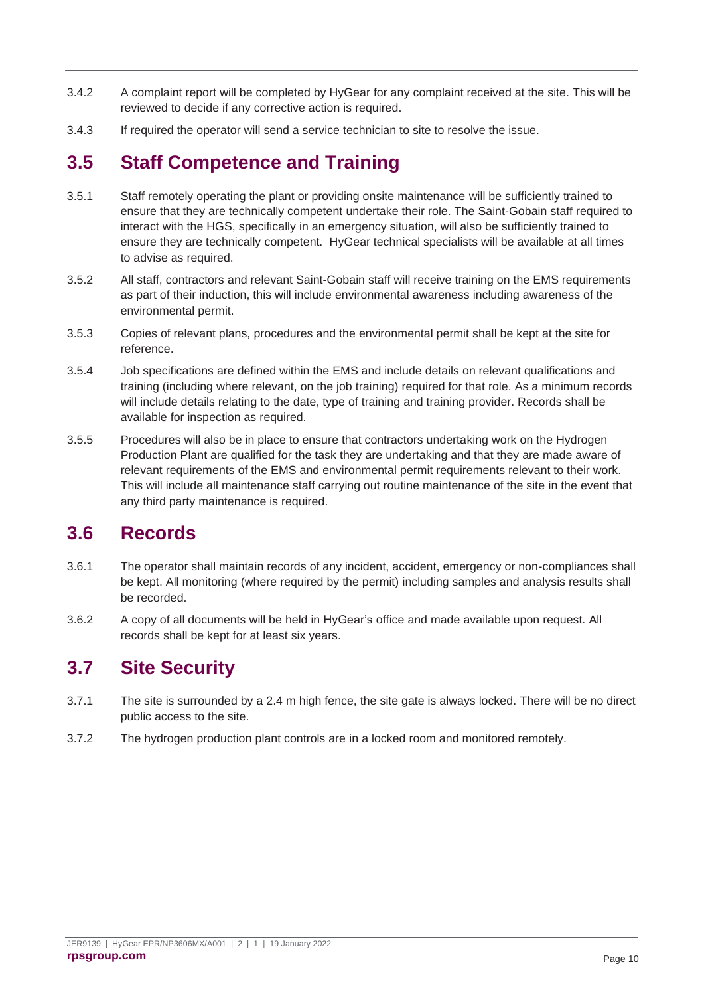- 3.4.2 A complaint report will be completed by HyGear for any complaint received at the site. This will be reviewed to decide if any corrective action is required.
- 3.4.3 If required the operator will send a service technician to site to resolve the issue.

## <span id="page-10-0"></span>**3.5 Staff Competence and Training**

- 3.5.1 Staff remotely operating the plant or providing onsite maintenance will be sufficiently trained to ensure that they are technically competent undertake their role. The Saint-Gobain staff required to interact with the HGS, specifically in an emergency situation, will also be sufficiently trained to ensure they are technically competent. HyGear technical specialists will be available at all times to advise as required.
- 3.5.2 All staff, contractors and relevant Saint-Gobain staff will receive training on the EMS requirements as part of their induction, this will include environmental awareness including awareness of the environmental permit.
- 3.5.3 Copies of relevant plans, procedures and the environmental permit shall be kept at the site for reference.
- 3.5.4 Job specifications are defined within the EMS and include details on relevant qualifications and training (including where relevant, on the job training) required for that role. As a minimum records will include details relating to the date, type of training and training provider. Records shall be available for inspection as required.
- 3.5.5 Procedures will also be in place to ensure that contractors undertaking work on the Hydrogen Production Plant are qualified for the task they are undertaking and that they are made aware of relevant requirements of the EMS and environmental permit requirements relevant to their work. This will include all maintenance staff carrying out routine maintenance of the site in the event that any third party maintenance is required.

### <span id="page-10-1"></span>**3.6 Records**

- 3.6.1 The operator shall maintain records of any incident, accident, emergency or non-compliances shall be kept. All monitoring (where required by the permit) including samples and analysis results shall be recorded.
- 3.6.2 A copy of all documents will be held in HyGear's office and made available upon request. All records shall be kept for at least six years.

## <span id="page-10-2"></span>**3.7 Site Security**

- 3.7.1 The site is surrounded by a 2.4 m high fence, the site gate is always locked. There will be no direct public access to the site.
- 3.7.2 The hydrogen production plant controls are in a locked room and monitored remotely.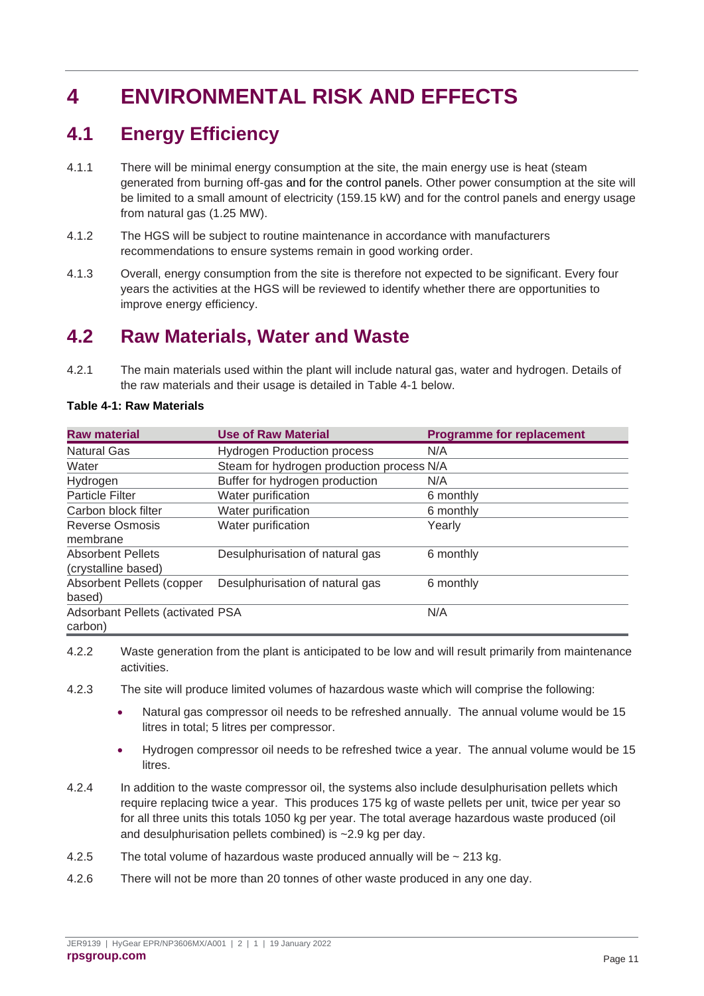# <span id="page-11-0"></span>**4 ENVIRONMENTAL RISK AND EFFECTS**

## <span id="page-11-1"></span>**4.1 Energy Efficiency**

- 4.1.1 There will be minimal energy consumption at the site, the main energy use is heat (steam generated from burning off-gas and for the control panels. Other power consumption at the site will be limited to a small amount of electricity (159.15 kW) and for the control panels and energy usage from natural gas (1.25 MW).
- 4.1.2 The HGS will be subject to routine maintenance in accordance with manufacturers recommendations to ensure systems remain in good working order.
- 4.1.3 Overall, energy consumption from the site is therefore not expected to be significant. Every four years the activities at the HGS will be reviewed to identify whether there are opportunities to improve energy efficiency.

## <span id="page-11-2"></span>**4.2 Raw Materials, Water and Waste**

4.2.1 The main materials used within the plant will include natural gas, water and hydrogen. Details of the raw materials and their usage is detailed in Table 4-1 below.

| <b>Raw material</b>                     | <b>Use of Raw Material</b>                | <b>Programme for replacement</b> |  |  |
|-----------------------------------------|-------------------------------------------|----------------------------------|--|--|
| <b>Natural Gas</b>                      | <b>Hydrogen Production process</b>        | N/A                              |  |  |
| Water                                   | Steam for hydrogen production process N/A |                                  |  |  |
| Hydrogen                                | Buffer for hydrogen production            | N/A                              |  |  |
| <b>Particle Filter</b>                  | Water purification                        | 6 monthly                        |  |  |
| Carbon block filter                     | Water purification                        | 6 monthly                        |  |  |
| <b>Reverse Osmosis</b>                  | Water purification                        | Yearly                           |  |  |
| membrane                                |                                           |                                  |  |  |
| <b>Absorbent Pellets</b>                | Desulphurisation of natural gas           | 6 monthly                        |  |  |
| (crystalline based)                     |                                           |                                  |  |  |
| Absorbent Pellets (copper               | Desulphurisation of natural gas           | 6 monthly                        |  |  |
| based)                                  |                                           |                                  |  |  |
| <b>Adsorbant Pellets (activated PSA</b> |                                           | N/A                              |  |  |
| carbon)                                 |                                           |                                  |  |  |

#### <span id="page-11-3"></span>**Table 4-1: Raw Materials**

4.2.2 Waste generation from the plant is anticipated to be low and will result primarily from maintenance activities.

- 4.2.3 The site will produce limited volumes of hazardous waste which will comprise the following:
	- Natural gas compressor oil needs to be refreshed annually. The annual volume would be 15 litres in total; 5 litres per compressor.
	- Hydrogen compressor oil needs to be refreshed twice a year. The annual volume would be 15 litres.
- 4.2.4 In addition to the waste compressor oil, the systems also include desulphurisation pellets which require replacing twice a year. This produces 175 kg of waste pellets per unit, twice per year so for all three units this totals 1050 kg per year. The total average hazardous waste produced (oil and desulphurisation pellets combined) is ~2.9 kg per day.
- 4.2.5 The total volume of hazardous waste produced annually will be  $\sim$  213 kg.
- 4.2.6 There will not be more than 20 tonnes of other waste produced in any one day.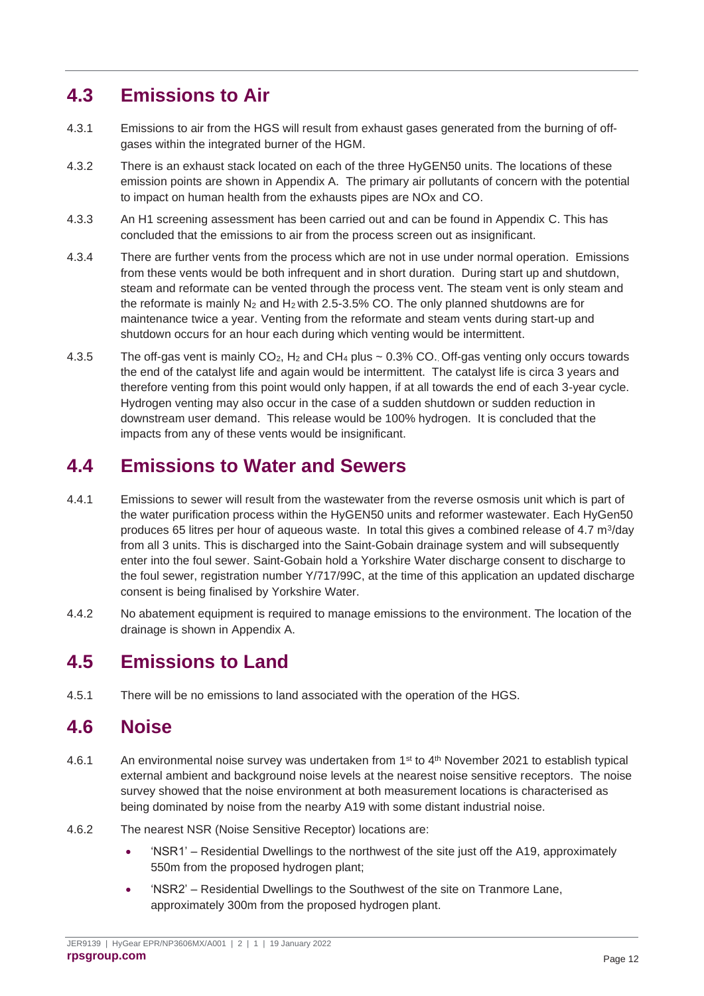## <span id="page-12-0"></span>**4.3 Emissions to Air**

- 4.3.1 Emissions to air from the HGS will result from exhaust gases generated from the burning of offgases within the integrated burner of the HGM.
- 4.3.2 There is an exhaust stack located on each of the three HyGEN50 units. The locations of these emission points are shown in Appendix A. The primary air pollutants of concern with the potential to impact on human health from the exhausts pipes are NOx and CO.
- 4.3.3 An H1 screening assessment has been carried out and can be found in Appendix C. This has concluded that the emissions to air from the process screen out as insignificant.
- 4.3.4 There are further vents from the process which are not in use under normal operation. Emissions from these vents would be both infrequent and in short duration. During start up and shutdown, steam and reformate can be vented through the process vent. The steam vent is only steam and the reformate is mainly  $N_2$  and  $H_2$  with 2.5-3.5% CO. The only planned shutdowns are for maintenance twice a year. Venting from the reformate and steam vents during start-up and shutdown occurs for an hour each during which venting would be intermittent.
- 4.3.5 The off-gas vent is mainly  $CO<sub>2</sub>$ , H<sub>2</sub> and CH<sub>4</sub> plus  $\sim$  0.3% CO. Off-gas venting only occurs towards the end of the catalyst life and again would be intermittent. The catalyst life is circa 3 years and therefore venting from this point would only happen, if at all towards the end of each 3-year cycle. Hydrogen venting may also occur in the case of a sudden shutdown or sudden reduction in downstream user demand. This release would be 100% hydrogen. It is concluded that the impacts from any of these vents would be insignificant.

## <span id="page-12-1"></span>**4.4 Emissions to Water and Sewers**

- 4.4.1 Emissions to sewer will result from the wastewater from the reverse osmosis unit which is part of the water purification process within the HyGEN50 units and reformer wastewater. Each HyGen50 produces 65 litres per hour of aqueous waste. In total this gives a combined release of 4.7 m<sup>3</sup>/day from all 3 units. This is discharged into the Saint-Gobain drainage system and will subsequently enter into the foul sewer. Saint-Gobain hold a Yorkshire Water discharge consent to discharge to the foul sewer, registration number Y/717/99C, at the time of this application an updated discharge consent is being finalised by Yorkshire Water.
- 4.4.2 No abatement equipment is required to manage emissions to the environment. The location of the drainage is shown in Appendix A.

### <span id="page-12-2"></span>**4.5 Emissions to Land**

4.5.1 There will be no emissions to land associated with the operation of the HGS.

### <span id="page-12-3"></span>**4.6 Noise**

- 4.6.1 An environmental noise survey was undertaken from 1st to 4th November 2021 to establish typical external ambient and background noise levels at the nearest noise sensitive receptors. The noise survey showed that the noise environment at both measurement locations is characterised as being dominated by noise from the nearby A19 with some distant industrial noise.
- 4.6.2 The nearest NSR (Noise Sensitive Receptor) locations are:
	- 'NSR1' Residential Dwellings to the northwest of the site just off the A19, approximately 550m from the proposed hydrogen plant;
	- 'NSR2' Residential Dwellings to the Southwest of the site on Tranmore Lane, approximately 300m from the proposed hydrogen plant.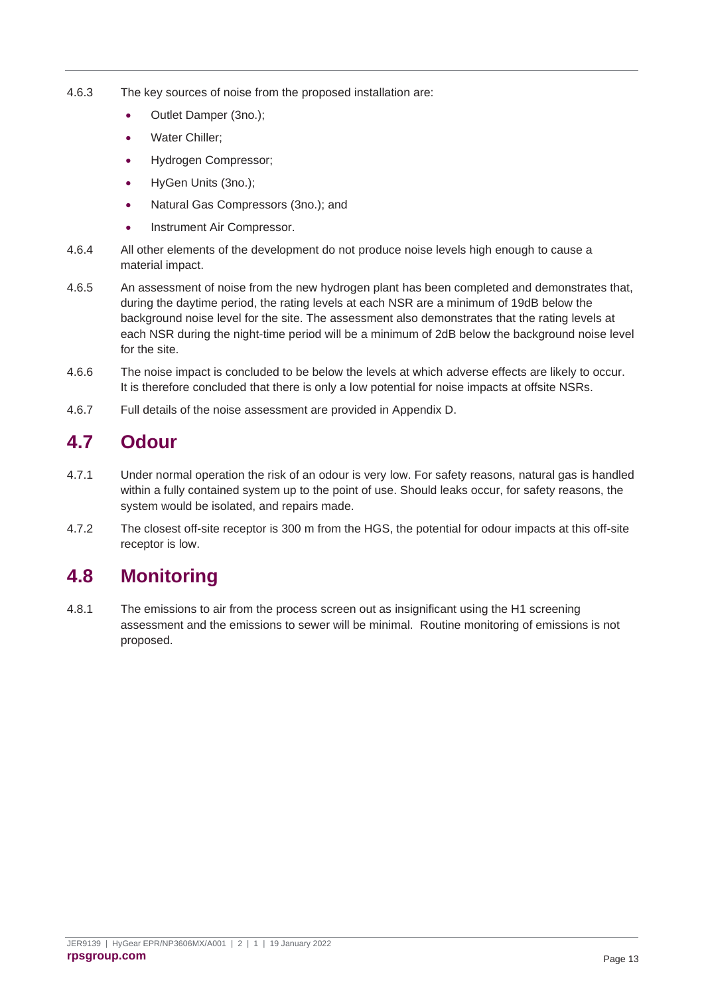- 4.6.3 The key sources of noise from the proposed installation are:
	- Outlet Damper (3no.):
	- Water Chiller;
	- Hydrogen Compressor;
	- HyGen Units (3no.);
	- Natural Gas Compressors (3no.); and
	- Instrument Air Compressor.
- 4.6.4 All other elements of the development do not produce noise levels high enough to cause a material impact.
- 4.6.5 An assessment of noise from the new hydrogen plant has been completed and demonstrates that, during the daytime period, the rating levels at each NSR are a minimum of 19dB below the background noise level for the site. The assessment also demonstrates that the rating levels at each NSR during the night-time period will be a minimum of 2dB below the background noise level for the site.
- 4.6.6 The noise impact is concluded to be below the levels at which adverse effects are likely to occur. It is therefore concluded that there is only a low potential for noise impacts at offsite NSRs.
- 4.6.7 Full details of the noise assessment are provided in Appendix D.

## <span id="page-13-0"></span>**4.7 Odour**

- 4.7.1 Under normal operation the risk of an odour is very low. For safety reasons, natural gas is handled within a fully contained system up to the point of use. Should leaks occur, for safety reasons, the system would be isolated, and repairs made.
- 4.7.2 The closest off-site receptor is 300 m from the HGS, the potential for odour impacts at this off-site receptor is low.

### <span id="page-13-1"></span>**4.8 Monitoring**

4.8.1 The emissions to air from the process screen out as insignificant using the H1 screening assessment and the emissions to sewer will be minimal. Routine monitoring of emissions is not proposed.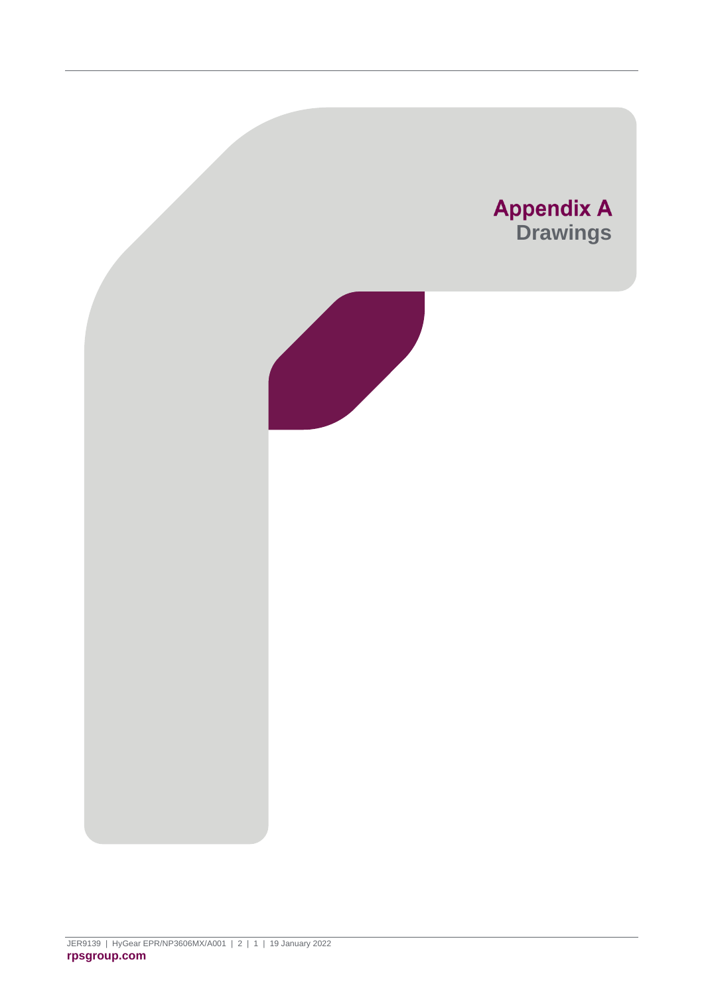<span id="page-14-0"></span>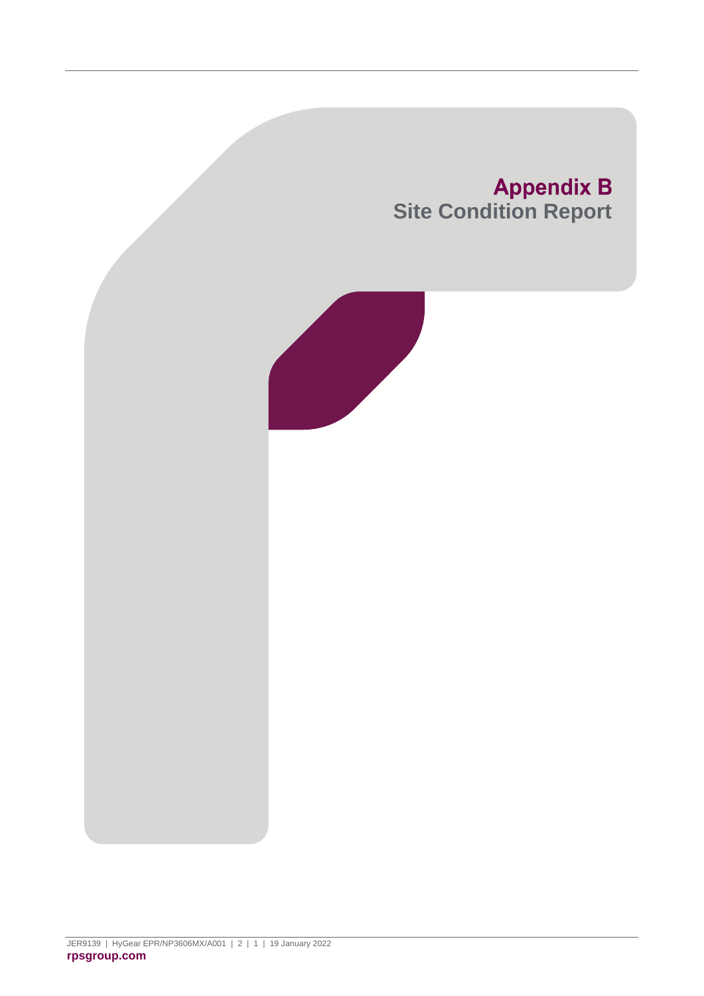<span id="page-15-0"></span>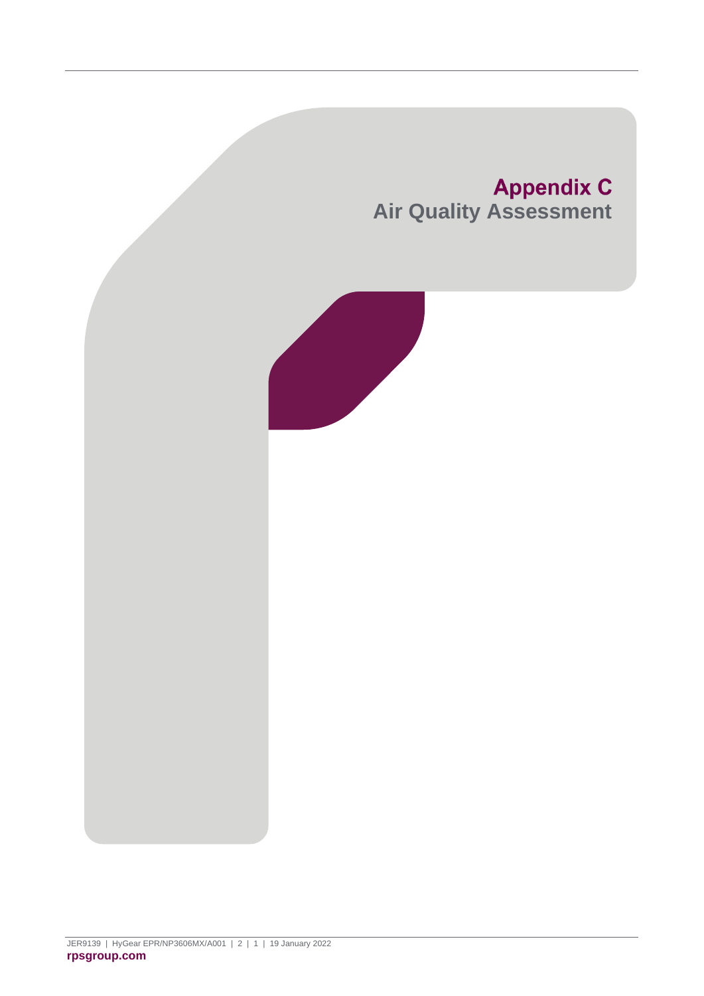<span id="page-16-0"></span>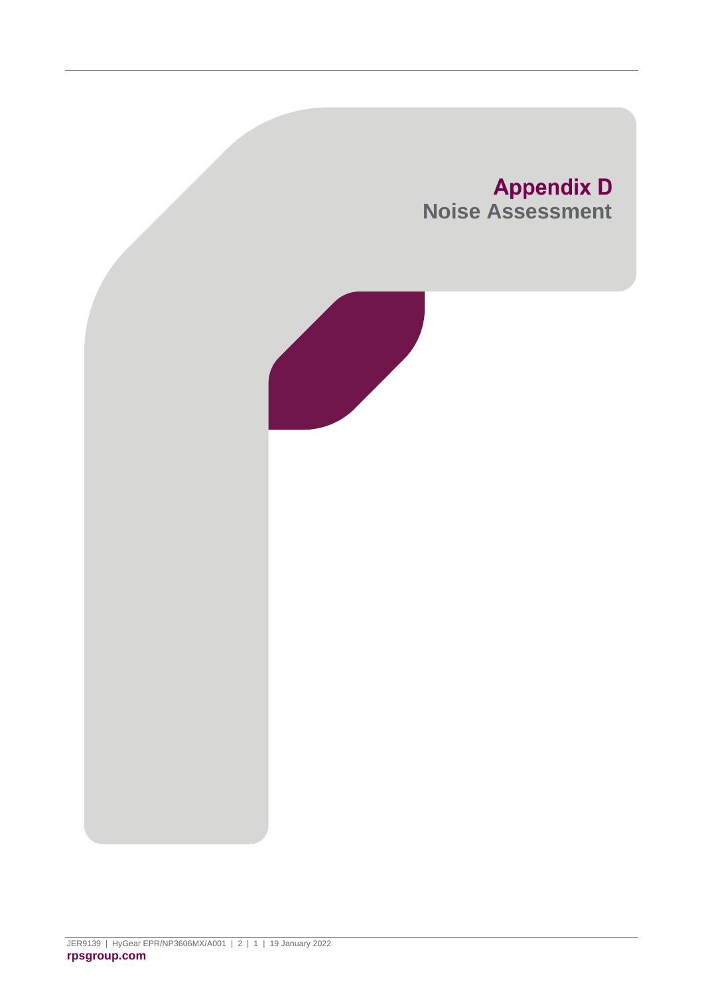<span id="page-17-0"></span>